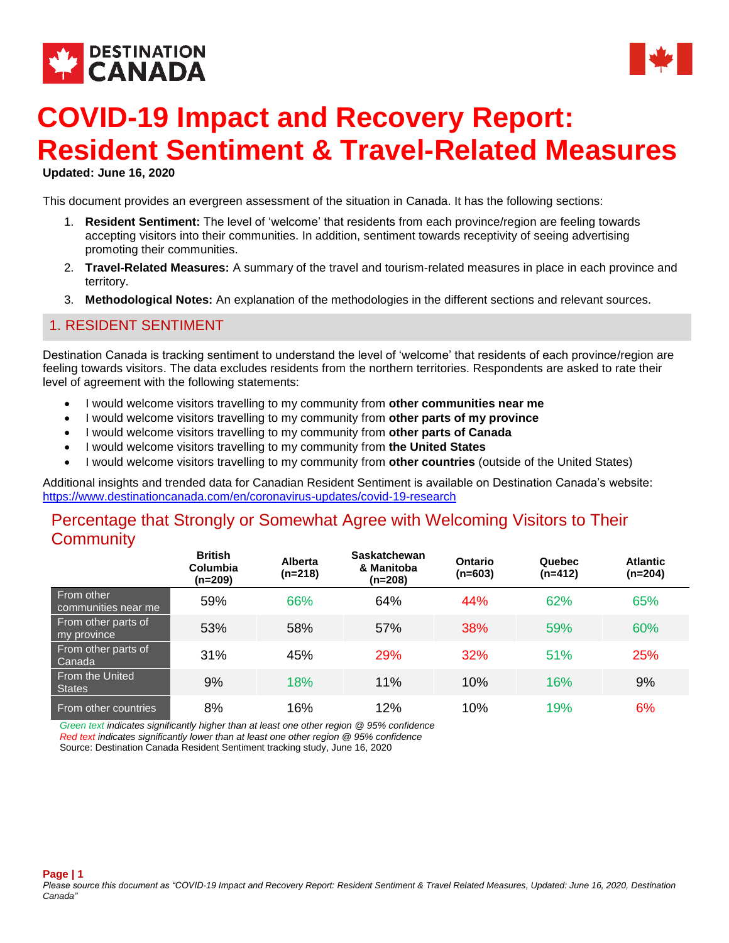



# **COVID-19 Impact and Recovery Report: Resident Sentiment & Travel-Related Measures**

**Updated: June 16, 2020** 

This document provides an evergreen assessment of the situation in Canada. It has the following sections:

- 1. **Resident Sentiment:** The level of 'welcome' that residents from each province/region are feeling towards accepting visitors into their communities. In addition, sentiment towards receptivity of seeing advertising promoting their communities.
- 2. **Travel-Related Measures:** A summary of the travel and tourism-related measures in place in each province and territory.
- 3. **Methodological Notes:** An explanation of the methodologies in the different sections and relevant sources.

#### 1. RESIDENT SENTIMENT

Destination Canada is tracking sentiment to understand the level of 'welcome' that residents of each province/region are feeling towards visitors. The data excludes residents from the northern territories. Respondents are asked to rate their level of agreement with the following statements:

- I would welcome visitors travelling to my community from **other communities near me**
- I would welcome visitors travelling to my community from **other parts of my province**
- I would welcome visitors travelling to my community from **other parts of Canada**
- I would welcome visitors travelling to my community from **the United States**
- I would welcome visitors travelling to my community from **other countries** (outside of the United States)

Additional insights and trended data for Canadian Resident Sentiment is available on Destination Canada's website: <https://www.destinationcanada.com/en/coronavirus-updates/covid-19-research>

### Percentage that Strongly or Somewhat Agree with Welcoming Visitors to Their **Community**

|                                    | <b>British</b><br><b>Columbia</b><br>(n=209) | <b>Alberta</b><br>$(n=218)$ | <b>Saskatchewan</b><br>& Manitoba<br>(n=208) | Ontario<br>$(n=603)$ | Quebec<br>$(n=412)$ | <b>Atlantic</b><br>$(n=204)$ |
|------------------------------------|----------------------------------------------|-----------------------------|----------------------------------------------|----------------------|---------------------|------------------------------|
| From other<br>communities near me  | 59%                                          | 66%                         | 64%                                          | 44%                  | 62%                 | 65%                          |
| From other parts of<br>my province | 53%                                          | 58%                         | 57%                                          | 38%                  | 59%                 | 60%                          |
| From other parts of<br>Canada      | 31%                                          | 45%                         | <b>29%</b>                                   | 32%                  | 51%                 | 25%                          |
| From the United<br><b>States</b>   | 9%                                           | 18%                         | 11%                                          | 10%                  | 16%                 | 9%                           |
| From other countries               | 8%                                           | 16%                         | 12%                                          | 10%                  | 19%                 | 6%                           |

*Green text indicates significantly higher than at least one other region @ 95% confidence Red text indicates significantly lower than at least one other region @ 95% confidence*

Source: Destination Canada Resident Sentiment tracking study, June 16, 2020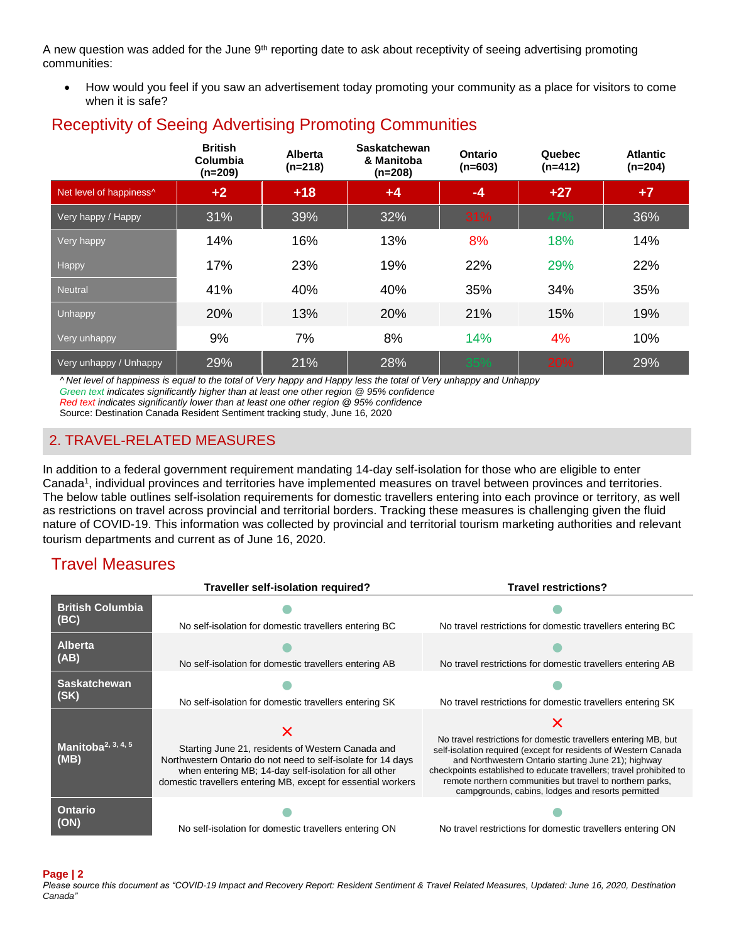A new question was added for the June  $9<sup>th</sup>$  reporting date to ask about receptivity of seeing advertising promoting communities:

 How would you feel if you saw an advertisement today promoting your community as a place for visitors to come when it is safe?

|                         | <b>British</b><br>Columbia<br>$(n=209)$ | <b>Alberta</b><br>$(n=218)$ | Saskatchewan<br>& Manitoba<br>$(n=208)$ | <b>Ontario</b><br>$(n=603)$ | Quebec<br>$(n=412)$ | <b>Atlantic</b><br>$(n=204)$ |
|-------------------------|-----------------------------------------|-----------------------------|-----------------------------------------|-----------------------------|---------------------|------------------------------|
| Net level of happiness^ | $+2$                                    | $+18$                       | $+4$                                    | $-4$                        | $+27$               | $+7$                         |
| Very happy / Happy      | 31%                                     | 39%                         | 32%                                     | 31%                         | 47%                 | 36%                          |
| Very happy              | 14%                                     | 16%                         | 13%                                     | 8%                          | 18%                 | 14%                          |
| Happy                   | 17%                                     | 23%                         | 19%                                     | 22%                         | 29%                 | 22%                          |
| <b>Neutral</b>          | 41%                                     | 40%                         | 40%                                     | 35%                         | 34%                 | 35%                          |
| <b>Unhappy</b>          | 20%                                     | 13%                         | 20%                                     | 21%                         | 15%                 | 19%                          |
| Very unhappy            | 9%                                      | 7%                          | 8%                                      | 14%                         | 4%                  | 10%                          |
| Very unhappy / Unhappy  | 29%                                     | 21%                         | 28%                                     | 35%                         | 20%                 | 29%                          |

## Receptivity of Seeing Advertising Promoting Communities

*^ Net level of happiness is equal to the total of Very happy and Happy less the total of Very unhappy and Unhappy Green text indicates significantly higher than at least one other region @ 95% confidence*

*Red text indicates significantly lower than at least one other region @ 95% confidence*

Source: Destination Canada Resident Sentiment tracking study, June 16, 2020

### 2. TRAVEL-RELATED MEASURES

In addition to a federal government requirement mandating 14-day self-isolation for those who are eligible to enter Canada<sup>1</sup>, individual provinces and territories have implemented measures on travel between provinces and territories. The below table outlines self-isolation requirements for domestic travellers entering into each province or territory, as well as restrictions on travel across provincial and territorial borders. Tracking these measures is challenging given the fluid nature of COVID-19. This information was collected by provincial and territorial tourism marketing authorities and relevant tourism departments and current as of June 16, 2020.

### Travel Measures

|                                        | Traveller self-isolation required?                                                                                                                                                                                                          | <b>Travel restrictions?</b>                                                                                                                                                                                                                                                                                                                                                        |
|----------------------------------------|---------------------------------------------------------------------------------------------------------------------------------------------------------------------------------------------------------------------------------------------|------------------------------------------------------------------------------------------------------------------------------------------------------------------------------------------------------------------------------------------------------------------------------------------------------------------------------------------------------------------------------------|
| <b>British Columbia</b>                |                                                                                                                                                                                                                                             |                                                                                                                                                                                                                                                                                                                                                                                    |
| (BC)                                   | No self-isolation for domestic travellers entering BC                                                                                                                                                                                       | No travel restrictions for domestic travellers entering BC                                                                                                                                                                                                                                                                                                                         |
| <b>Alberta</b><br>(AB)                 | No self-isolation for domestic travellers entering AB                                                                                                                                                                                       | No travel restrictions for domestic travellers entering AB                                                                                                                                                                                                                                                                                                                         |
|                                        |                                                                                                                                                                                                                                             |                                                                                                                                                                                                                                                                                                                                                                                    |
| <b>Saskatchewan</b>                    |                                                                                                                                                                                                                                             |                                                                                                                                                                                                                                                                                                                                                                                    |
| (SK)                                   | No self-isolation for domestic travellers entering SK                                                                                                                                                                                       | No travel restrictions for domestic travellers entering SK                                                                                                                                                                                                                                                                                                                         |
| Manitoba <sup>2, 3, 4, 5</sup><br>(MB) | Starting June 21, residents of Western Canada and<br>Northwestern Ontario do not need to self-isolate for 14 days<br>when entering MB; 14-day self-isolation for all other<br>domestic travellers entering MB, except for essential workers | No travel restrictions for domestic travellers entering MB, but<br>self-isolation required (except for residents of Western Canada<br>and Northwestern Ontario starting June 21); highway<br>checkpoints established to educate travellers; travel prohibited to<br>remote northern communities but travel to northern parks,<br>campgrounds, cabins, lodges and resorts permitted |
| <b>Ontario</b><br>(ON)                 | No self-isolation for domestic travellers entering ON                                                                                                                                                                                       | No travel restrictions for domestic travellers entering ON                                                                                                                                                                                                                                                                                                                         |

#### **Page | 2**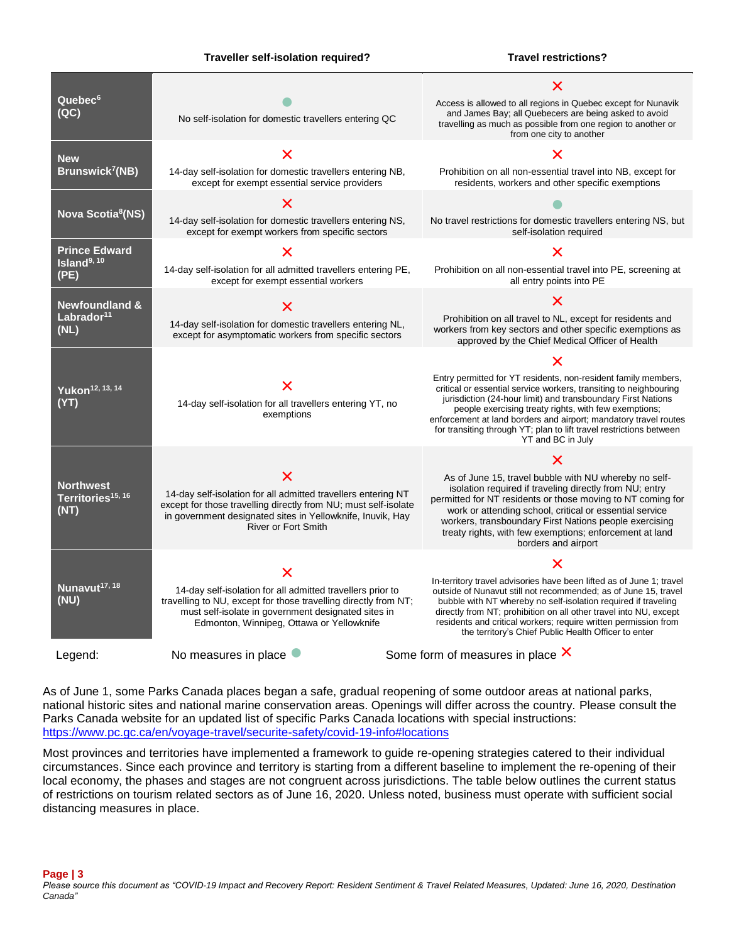#### **Traveller self-isolation required?** Travel restrictions?

| Quebec <sup>6</sup><br>(QC)                                 | No self-isolation for domestic travellers entering QC                                                                                                                                                                             | Access is allowed to all regions in Quebec except for Nunavik<br>and James Bay; all Quebecers are being asked to avoid<br>travelling as much as possible from one region to another or<br>from one city to another                                                                                                                                                                                                                |
|-------------------------------------------------------------|-----------------------------------------------------------------------------------------------------------------------------------------------------------------------------------------------------------------------------------|-----------------------------------------------------------------------------------------------------------------------------------------------------------------------------------------------------------------------------------------------------------------------------------------------------------------------------------------------------------------------------------------------------------------------------------|
| <b>New</b><br>Brunswick <sup>7</sup> (NB)                   | Х<br>14-day self-isolation for domestic travellers entering NB,<br>except for exempt essential service providers                                                                                                                  | Х<br>Prohibition on all non-essential travel into NB, except for<br>residents, workers and other specific exemptions                                                                                                                                                                                                                                                                                                              |
| Nova Scotia <sup>8</sup> (NS)                               | Х<br>14-day self-isolation for domestic travellers entering NS,<br>except for exempt workers from specific sectors                                                                                                                | No travel restrictions for domestic travellers entering NS, but<br>self-isolation required                                                                                                                                                                                                                                                                                                                                        |
| <b>Prince Edward</b><br>Island $9,10$<br>(PE)               | 14-day self-isolation for all admitted travellers entering PE,<br>except for exempt essential workers                                                                                                                             | Х<br>Prohibition on all non-essential travel into PE, screening at<br>all entry points into PE                                                                                                                                                                                                                                                                                                                                    |
| <b>Newfoundland &amp;</b><br>Labrador <sup>11</sup><br>(NL) | Х<br>14-day self-isolation for domestic travellers entering NL,<br>except for asymptomatic workers from specific sectors                                                                                                          | Prohibition on all travel to NL, except for residents and<br>workers from key sectors and other specific exemptions as<br>approved by the Chief Medical Officer of Health                                                                                                                                                                                                                                                         |
| Yukon <sup>12, 13, 14</sup><br>(YY)                         | 14-day self-isolation for all travellers entering YT, no<br>exemptions                                                                                                                                                            | Х<br>Entry permitted for YT residents, non-resident family members,<br>critical or essential service workers, transiting to neighbouring<br>jurisdiction (24-hour limit) and transboundary First Nations<br>people exercising treaty rights, with few exemptions;<br>enforcement at land borders and airport; mandatory travel routes<br>for transiting through YT; plan to lift travel restrictions between<br>YT and BC in July |
| <b>Northwest</b><br>Territories <sup>15, 16</sup><br>(NT)   | 14-day self-isolation for all admitted travellers entering NT<br>except for those travelling directly from NU; must self-isolate<br>in government designated sites in Yellowknife, Inuvik, Hay<br><b>River or Fort Smith</b>      | As of June 15, travel bubble with NU whereby no self-<br>isolation required if traveling directly from NU; entry<br>permitted for NT residents or those moving to NT coming for<br>work or attending school, critical or essential service<br>workers, transboundary First Nations people exercising<br>treaty rights, with few exemptions; enforcement at land<br>borders and airport                                            |
| Nunavut <sup>17, 18</sup><br>(NU)                           | 14-day self-isolation for all admitted travellers prior to<br>travelling to NU, except for those travelling directly from NT;<br>must self-isolate in government designated sites in<br>Edmonton, Winnipeg, Ottawa or Yellowknife | Х<br>In-territory travel advisories have been lifted as of June 1; travel<br>outside of Nunavut still not recommended; as of June 15, travel<br>bubble with NT whereby no self-isolation required if traveling<br>directly from NT; prohibition on all other travel into NU, except<br>residents and critical workers; require written permission from<br>the territory's Chief Public Health Officer to enter                    |
| Legend:                                                     | No measures in place                                                                                                                                                                                                              | Some form of measures in place $\times$                                                                                                                                                                                                                                                                                                                                                                                           |

As of June 1, some Parks Canada places began a safe, gradual reopening of some outdoor areas at national parks, national historic sites and national marine conservation areas. Openings will differ across the country. Please consult the Parks Canada website for an updated list of specific Parks Canada locations with special instructions: <https://www.pc.gc.ca/en/voyage-travel/securite-safety/covid-19-info#locations>

Most provinces and territories have implemented a framework to guide re-opening strategies catered to their individual circumstances. Since each province and territory is starting from a different baseline to implement the re-opening of their local economy, the phases and stages are not congruent across jurisdictions. The table below outlines the current status of restrictions on tourism related sectors as of June 16, 2020. Unless noted, business must operate with sufficient social distancing measures in place.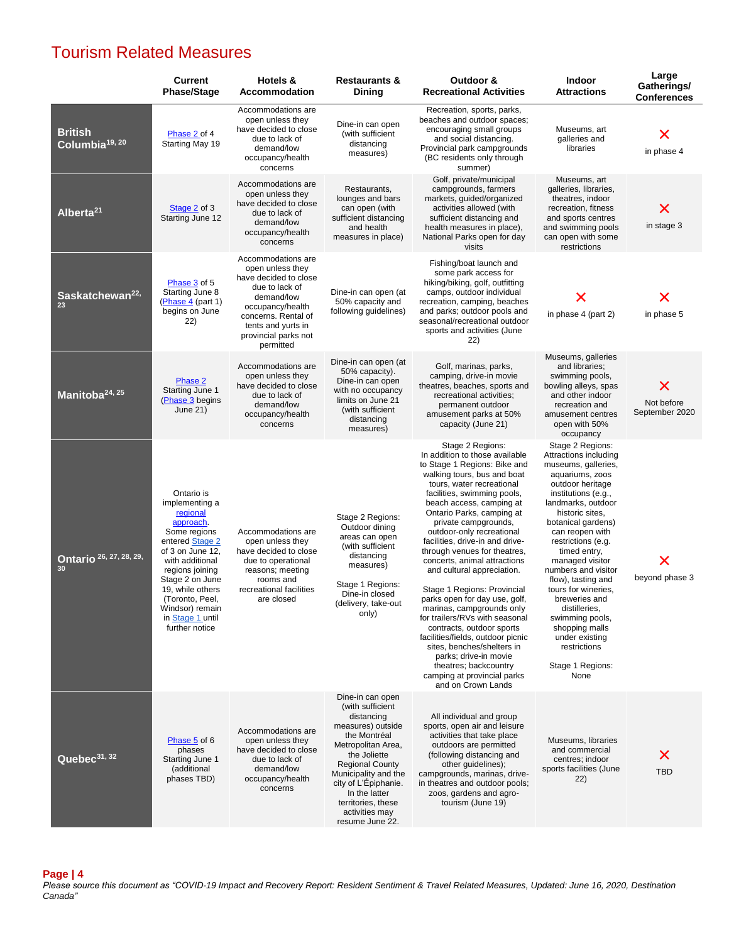### Tourism Related Measures

|                                              | <b>Current</b><br><b>Phase/Stage</b>                                                                                                                                                                                                                                  | Hotels &<br><b>Accommodation</b>                                                                                                                                                                      | <b>Restaurants &amp;</b><br>Dining                                                                                                                                                                                                                                                  | Outdoor &<br><b>Recreational Activities</b>                                                                                                                                                                                                                                                                                                                                                                                                                                                                                                                                                                                                                                                                                                                        | <b>Indoor</b><br><b>Attractions</b>                                                                                                                                                                                                                                                                                                                                                                                                                                                | Large<br>Gatherings/<br><b>Conferences</b> |
|----------------------------------------------|-----------------------------------------------------------------------------------------------------------------------------------------------------------------------------------------------------------------------------------------------------------------------|-------------------------------------------------------------------------------------------------------------------------------------------------------------------------------------------------------|-------------------------------------------------------------------------------------------------------------------------------------------------------------------------------------------------------------------------------------------------------------------------------------|--------------------------------------------------------------------------------------------------------------------------------------------------------------------------------------------------------------------------------------------------------------------------------------------------------------------------------------------------------------------------------------------------------------------------------------------------------------------------------------------------------------------------------------------------------------------------------------------------------------------------------------------------------------------------------------------------------------------------------------------------------------------|------------------------------------------------------------------------------------------------------------------------------------------------------------------------------------------------------------------------------------------------------------------------------------------------------------------------------------------------------------------------------------------------------------------------------------------------------------------------------------|--------------------------------------------|
| <b>British</b><br>Columbia <sup>19, 20</sup> | Phase 2 of 4<br>Starting May 19                                                                                                                                                                                                                                       | Accommodations are<br>open unless they<br>have decided to close<br>due to lack of<br>demand/low<br>occupancy/health<br>concerns                                                                       | Dine-in can open<br>(with sufficient<br>distancing<br>measures)                                                                                                                                                                                                                     | Recreation, sports, parks,<br>beaches and outdoor spaces;<br>encouraging small groups<br>and social distancing.<br>Provincial park campgrounds<br>(BC residents only through<br>summer)                                                                                                                                                                                                                                                                                                                                                                                                                                                                                                                                                                            | Museums, art<br>galleries and<br>libraries                                                                                                                                                                                                                                                                                                                                                                                                                                         | Х<br>in phase 4                            |
| Alberta <sup>21</sup>                        | Stage 2 of 3<br>Starting June 12                                                                                                                                                                                                                                      | Accommodations are<br>open unless they<br>have decided to close<br>due to lack of<br>demand/low<br>occupancy/health<br>concerns                                                                       | Restaurants,<br>lounges and bars<br>can open (with<br>sufficient distancing<br>and health<br>measures in place)                                                                                                                                                                     | Golf, private/municipal<br>campgrounds, farmers<br>markets, quided/organized<br>activities allowed (with<br>sufficient distancing and<br>health measures in place),<br>National Parks open for day<br>visits                                                                                                                                                                                                                                                                                                                                                                                                                                                                                                                                                       | Museums, art<br>galleries, libraries,<br>theatres, indoor<br>recreation, fitness<br>and sports centres<br>and swimming pools<br>can open with some<br>restrictions                                                                                                                                                                                                                                                                                                                 | Х<br>in stage 3                            |
| Saskatchewan <sup>22,</sup><br>23            | Phase 3 of 5<br>Starting June 8<br>(Phase 4 (part 1)<br>begins on June<br>(22)                                                                                                                                                                                        | Accommodations are<br>open unless they<br>have decided to close<br>due to lack of<br>demand/low<br>occupancy/health<br>concerns. Rental of<br>tents and yurts in<br>provincial parks not<br>permitted | Dine-in can open (at<br>50% capacity and<br>following guidelines)                                                                                                                                                                                                                   | Fishing/boat launch and<br>some park access for<br>hiking/biking, golf, outfitting<br>camps, outdoor individual<br>recreation, camping, beaches<br>and parks; outdoor pools and<br>seasonal/recreational outdoor<br>sports and activities (June<br>22)                                                                                                                                                                                                                                                                                                                                                                                                                                                                                                             | X<br>in phase 4 (part 2)                                                                                                                                                                                                                                                                                                                                                                                                                                                           | Х<br>in phase 5                            |
| Manitoba <sup>24, 25</sup>                   | Phase 2<br>Starting June 1<br>(Phase 3 begins<br>June 21)                                                                                                                                                                                                             | Accommodations are<br>open unless they<br>have decided to close<br>due to lack of<br>demand/low<br>occupancy/health<br>concerns                                                                       | Dine-in can open (at<br>50% capacity).<br>Dine-in can open<br>with no occupancy<br>limits on June 21<br>(with sufficient<br>distancing<br>measures)                                                                                                                                 | Golf, marinas, parks,<br>camping, drive-in movie<br>theatres, beaches, sports and<br>recreational activities:<br>permanent outdoor<br>amusement parks at 50%<br>capacity (June 21)                                                                                                                                                                                                                                                                                                                                                                                                                                                                                                                                                                                 | Museums, galleries<br>and libraries;<br>swimming pools,<br>bowling alleys, spas<br>and other indoor<br>recreation and<br>amusement centres<br>open with 50%<br>occupancy                                                                                                                                                                                                                                                                                                           | X<br>Not before<br>September 2020          |
| Ontario 26, 27, 28, 29,<br>30                | Ontario is<br>implementing a<br>regional<br>approach.<br>Some regions<br>entered Stage 2<br>of 3 on June 12,<br>with additional<br>regions joining<br>Stage 2 on June<br>19, while others<br>(Toronto, Peel,<br>Windsor) remain<br>in Stage 1 until<br>further notice | Accommodations are<br>open unless they<br>have decided to close<br>due to operational<br>reasons; meeting<br>rooms and<br>recreational facilities<br>are closed                                       | Stage 2 Regions:<br>Outdoor dining<br>areas can open<br>(with sufficient<br>distancing<br>measures)<br>Stage 1 Regions:<br>Dine-in closed<br>(delivery, take-out<br>only)                                                                                                           | Stage 2 Regions:<br>In addition to those available<br>to Stage 1 Regions: Bike and<br>walking tours, bus and boat<br>tours, water recreational<br>facilities, swimming pools,<br>beach access, camping at<br>Ontario Parks, camping at<br>private campgrounds,<br>outdoor-only recreational<br>facilities, drive-in and drive-<br>through venues for theatres,<br>concerts, animal attractions<br>and cultural appreciation.<br>Stage 1 Regions: Provincial<br>parks open for day use, golf,<br>marinas, campgrounds only<br>for trailers/RVs with seasonal<br>contracts, outdoor sports<br>facilities/fields, outdoor picnic<br>sites, benches/shelters in<br>parks; drive-in movie<br>theatres; backcountry<br>camping at provincial parks<br>and on Crown Lands | Stage 2 Regions:<br>Attractions including<br>museums, galleries,<br>aquariums, zoos<br>outdoor heritage<br>institutions (e.g.,<br>landmarks, outdoor<br>historic sites,<br>botanical gardens)<br>can reopen with<br>restrictions (e.g.<br>timed entry,<br>managed visitor<br>numbers and visitor<br>flow), tasting and<br>tours for wineries.<br>breweries and<br>distilleries,<br>swimming pools,<br>shopping malls<br>under existing<br>restrictions<br>Stage 1 Regions:<br>None | х<br>beyond phase 3                        |
| Quebec <sup>31, 32</sup>                     | Phase 5 of 6<br>phases<br>Starting June 1<br>(additional<br>phases TBD)                                                                                                                                                                                               | Accommodations are<br>open unless they<br>have decided to close<br>due to lack of<br>demand/low<br>occupancy/health<br>concerns                                                                       | Dine-in can open<br>(with sufficient<br>distancing<br>measures) outside<br>the Montréal<br>Metropolitan Area,<br>the Joliette<br><b>Regional County</b><br>Municipality and the<br>city of L'Épiphanie.<br>In the latter<br>territories, these<br>activities may<br>resume June 22. | All individual and group<br>sports, open air and leisure<br>activities that take place<br>outdoors are permitted<br>(following distancing and<br>other guidelines);<br>campgrounds, marinas, drive-<br>in theatres and outdoor pools;<br>zoos, gardens and agro-<br>tourism (June 19)                                                                                                                                                                                                                                                                                                                                                                                                                                                                              | Museums, libraries<br>and commercial<br>centres; indoor<br>sports facilities (June<br>(22)                                                                                                                                                                                                                                                                                                                                                                                         | х<br><b>TBD</b>                            |

**Page | 4**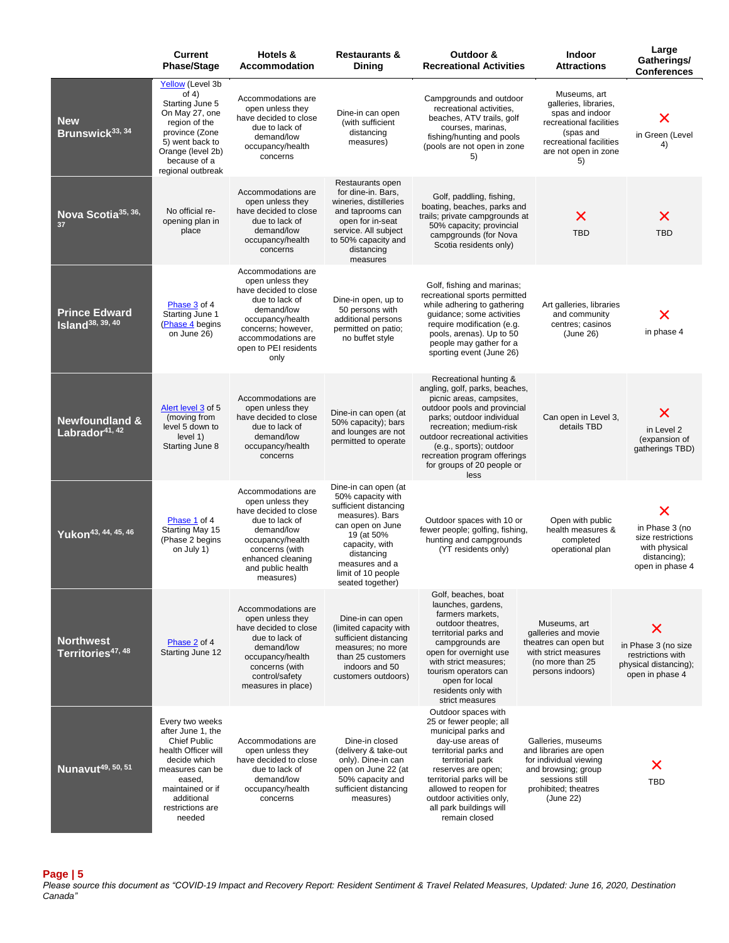|                                                         | <b>Current</b><br><b>Phase/Stage</b>                                                                                                                                                            | Hotels &<br>Accommodation                                                                                                                                                                        | <b>Restaurants &amp;</b><br><b>Dining</b>                                                                                                                                                                           | Outdoor &<br><b>Recreational Activities</b>                                                                                                                                                                                                                                                                      | Indoor<br><b>Attractions</b>                                                                                                                              | Large<br>Gatherings/<br><b>Conferences</b>                                                   |
|---------------------------------------------------------|-------------------------------------------------------------------------------------------------------------------------------------------------------------------------------------------------|--------------------------------------------------------------------------------------------------------------------------------------------------------------------------------------------------|---------------------------------------------------------------------------------------------------------------------------------------------------------------------------------------------------------------------|------------------------------------------------------------------------------------------------------------------------------------------------------------------------------------------------------------------------------------------------------------------------------------------------------------------|-----------------------------------------------------------------------------------------------------------------------------------------------------------|----------------------------------------------------------------------------------------------|
| <b>New</b><br>Brunswick <sup>33, 34</sup>               | Yellow (Level 3b<br>of $4)$<br>Starting June 5<br>On May 27, one<br>region of the<br>province (Zone<br>5) went back to<br>Orange (level 2b)<br>because of a<br>regional outbreak                | Accommodations are<br>open unless they<br>have decided to close<br>due to lack of<br>demand/low<br>occupancy/health<br>concerns                                                                  | Dine-in can open<br>(with sufficient<br>distancing<br>measures)                                                                                                                                                     | Campgrounds and outdoor<br>recreational activities,<br>beaches, ATV trails, golf<br>courses, marinas,<br>fishing/hunting and pools<br>(pools are not open in zone<br>5)                                                                                                                                          | Museums, art<br>galleries, libraries,<br>spas and indoor<br>recreational facilities<br>(spas and<br>recreational facilities<br>are not open in zone<br>5) | in Green (Level<br>4)                                                                        |
| Nova Scotia <sup>35, 36,</sup><br>37                    | No official re-<br>opening plan in<br>place                                                                                                                                                     | Accommodations are<br>open unless they<br>have decided to close<br>due to lack of<br>demand/low<br>occupancy/health<br>concerns                                                                  | Restaurants open<br>for dine-in. Bars,<br>wineries, distilleries<br>and taprooms can<br>open for in-seat<br>service. All subject<br>to 50% capacity and<br>distancing<br>measures                                   | Golf, paddling, fishing,<br>boating, beaches, parks and<br>trails; private campgrounds at<br>50% capacity; provincial<br>campgrounds (for Nova<br>Scotia residents only)                                                                                                                                         | X<br><b>TBD</b>                                                                                                                                           | Х<br><b>TBD</b>                                                                              |
| <b>Prince Edward</b><br>Island <sup>38, 39, 40</sup>    | Phase 3 of 4<br>Starting June 1<br>(Phase 4 begins<br>on June 26)                                                                                                                               | Accommodations are<br>open unless they<br>have decided to close<br>due to lack of<br>demand/low<br>occupancy/health<br>concerns; however,<br>accommodations are<br>open to PEI residents<br>only | Dine-in open, up to<br>50 persons with<br>additional persons<br>permitted on patio;<br>no buffet style                                                                                                              | Golf, fishing and marinas;<br>recreational sports permitted<br>while adhering to gathering<br>guidance; some activities<br>require modification (e.g.<br>pools, arenas). Up to 50<br>people may gather for a<br>sporting event (June 26)                                                                         | Art galleries, libraries<br>and community<br>centres; casinos<br>(June 26)                                                                                | in phase 4                                                                                   |
| <b>Newfoundland &amp;</b><br>Labrador <sup>41, 42</sup> | Alert level 3 of 5<br>(moving from<br>level 5 down to<br>level 1)<br>Starting June 8                                                                                                            | Accommodations are<br>open unless they<br>have decided to close<br>due to lack of<br>demand/low<br>occupancy/health<br>concerns                                                                  | Dine-in can open (at<br>50% capacity); bars<br>and lounges are not<br>permitted to operate                                                                                                                          | Recreational hunting &<br>angling, golf, parks, beaches,<br>picnic areas, campsites,<br>outdoor pools and provincial<br>parks; outdoor individual<br>recreation; medium-risk<br>outdoor recreational activities<br>(e.g., sports); outdoor<br>recreation program offerings<br>for groups of 20 people or<br>less | Can open in Level 3,<br>details TBD                                                                                                                       | Х<br>in Level 2<br>(expansion of<br>gatherings TBD)                                          |
| Yukon <sup>43, 44, 45, 46</sup>                         | Phase 1 of 4<br>Starting May 15<br>(Phase 2 begins<br>on July 1)                                                                                                                                | Accommodations are<br>open unless they<br>have decided to close<br>due to lack of<br>demand/low<br>occupancy/health<br>concerns (with<br>enhanced cleaning<br>and public health<br>measures)     | Dine-in can open (at<br>50% capacity with<br>sufficient distancing<br>measures). Bars<br>can open on June<br>19 (at 50%<br>capacity, with<br>distancing<br>measures and a<br>limit of 10 people<br>seated together) | Outdoor spaces with 10 or<br>fewer people; golfing, fishing,<br>hunting and campgrounds<br>(YT residents only)                                                                                                                                                                                                   | Open with public<br>health measures &<br>completed<br>operational plan                                                                                    | Х<br>in Phase 3 (no<br>size restrictions<br>with physical<br>distancing);<br>open in phase 4 |
| <b>Northwest</b><br>Territories <sup>47, 48</sup>       | Phase 2 of 4<br>Starting June 12                                                                                                                                                                | Accommodations are<br>open unless they<br>have decided to close<br>due to lack of<br>demand/low<br>occupancy/health<br>concerns (with<br>control/safety<br>measures in place)                    | Dine-in can open<br>(limited capacity with<br>sufficient distancing<br>measures; no more<br>than 25 customers<br>indoors and 50<br>customers outdoors)                                                              | Golf, beaches, boat<br>launches, gardens,<br>farmers markets,<br>outdoor theatres,<br>territorial parks and<br>campgrounds are<br>open for overnight use<br>with strict measures:<br>tourism operators can<br>open for local<br>residents only with<br>strict measures                                           | Museums, art<br>galleries and movie<br>theatres can open but<br>with strict measures<br>(no more than 25<br>persons indoors)                              | Х<br>in Phase 3 (no size<br>restrictions with<br>physical distancing);<br>open in phase 4    |
| Nunavut <sup>49, 50, 51</sup>                           | Every two weeks<br>after June 1, the<br><b>Chief Public</b><br>health Officer will<br>decide which<br>measures can be<br>eased,<br>maintained or if<br>additional<br>restrictions are<br>needed | Accommodations are<br>open unless they<br>have decided to close<br>due to lack of<br>demand/low<br>occupancy/health<br>concerns                                                                  | Dine-in closed<br>(delivery & take-out<br>only). Dine-in can<br>open on June 22 (at<br>50% capacity and<br>sufficient distancing<br>measures)                                                                       | Outdoor spaces with<br>25 or fewer people; all<br>municipal parks and<br>day-use areas of<br>territorial parks and<br>territorial park<br>reserves are open;<br>territorial parks will be<br>allowed to reopen for<br>outdoor activities only,<br>all park buildings will<br>remain closed                       | Galleries, museums<br>and libraries are open<br>for individual viewing<br>and browsing; group<br>sessions still<br>prohibited; theatres<br>(June 22)      | <b>TBD</b>                                                                                   |

**Page | 5**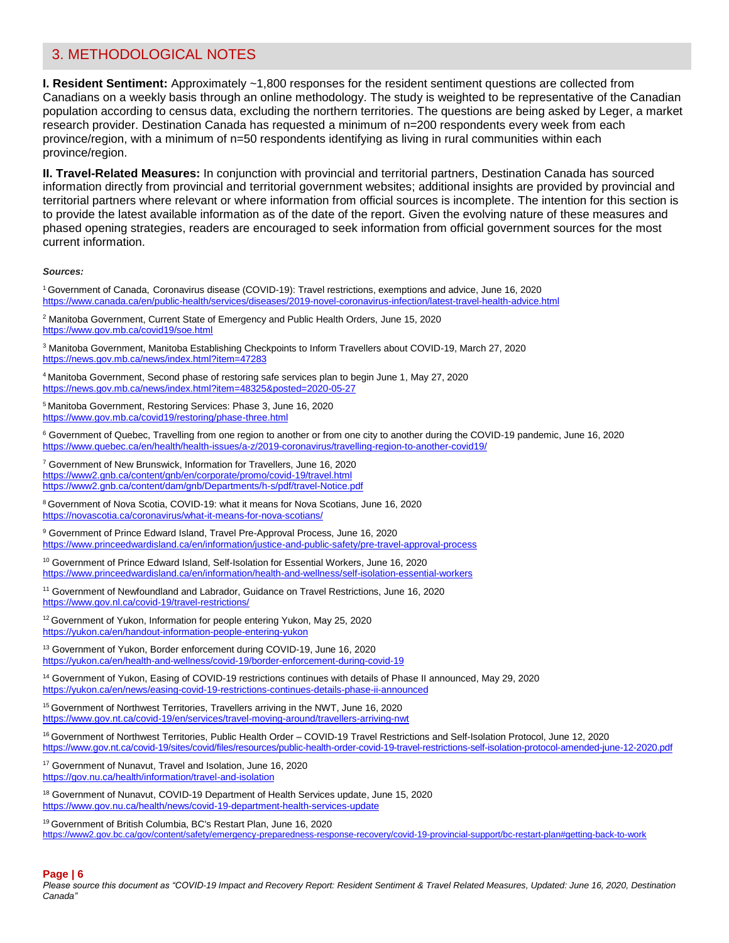### 3. METHODOLOGICAL NOTES

**I. Resident Sentiment:** Approximately ~1,800 responses for the resident sentiment questions are collected from Canadians on a weekly basis through an online methodology. The study is weighted to be representative of the Canadian population according to census data, excluding the northern territories. The questions are being asked by Leger, a market research provider. Destination Canada has requested a minimum of n=200 respondents every week from each province/region, with a minimum of n=50 respondents identifying as living in rural communities within each province/region.

**II. Travel-Related Measures:** In conjunction with provincial and territorial partners, Destination Canada has sourced information directly from provincial and territorial government websites; additional insights are provided by provincial and territorial partners where relevant or where information from official sources is incomplete. The intention for this section is to provide the latest available information as of the date of the report. Given the evolving nature of these measures and phased opening strategies, readers are encouraged to seek information from official government sources for the most current information.

#### *Sources:*

| <sup>1</sup> Government of Canada, Coronavirus disease (COVID-19): Travel restrictions, exemptions and advice, June 16, 2020<br>https://www.canada.ca/en/public-health/services/diseases/2019-novel-coronavirus-infection/latest-travel-health-advice.html                                                       |
|------------------------------------------------------------------------------------------------------------------------------------------------------------------------------------------------------------------------------------------------------------------------------------------------------------------|
| <sup>2</sup> Manitoba Government, Current State of Emergency and Public Health Orders, June 15, 2020<br>https://www.gov.mb.ca/covid19/soe.html                                                                                                                                                                   |
| <sup>3</sup> Manitoba Government, Manitoba Establishing Checkpoints to Inform Travellers about COVID-19, March 27, 2020<br>https://news.gov.mb.ca/news/index.html?item=47283                                                                                                                                     |
| <sup>4</sup> Manitoba Government, Second phase of restoring safe services plan to begin June 1, May 27, 2020<br>https://news.gov.mb.ca/news/index.html?item=48325&posted=2020-05-27                                                                                                                              |
| <sup>5</sup> Manitoba Government, Restoring Services: Phase 3, June 16, 2020<br>https://www.gov.mb.ca/covid19/restoring/phase-three.html                                                                                                                                                                         |
| <sup>6</sup> Government of Quebec, Travelling from one region to another or from one city to another during the COVID-19 pandemic, June 16, 2020<br>https://www.guebec.ca/en/health/health-issues/a-z/2019-coronavirus/travelling-region-to-another-covid19/                                                     |
| <sup>7</sup> Government of New Brunswick, Information for Travellers, June 16, 2020<br>https://www2.gnb.ca/content/gnb/en/corporate/promo/covid-19/travel.html<br>https://www2.gnb.ca/content/dam/gnb/Departments/h-s/pdf/travel-Notice.pdf                                                                      |
| <sup>8</sup> Government of Nova Scotia, COVID-19: what it means for Nova Scotians, June 16, 2020<br>https://novascotia.ca/coronavirus/what-it-means-for-nova-scotians/                                                                                                                                           |
| <sup>9</sup> Government of Prince Edward Island, Travel Pre-Approval Process, June 16, 2020<br>https://www.princeedwardisland.ca/en/information/iustice-and-public-safety/pre-travel-approval-process                                                                                                            |
| <sup>10</sup> Government of Prince Edward Island, Self-Isolation for Essential Workers, June 16, 2020<br>https://www.princeedwardisland.ca/en/information/health-and-wellness/self-isolation-essential-workers                                                                                                   |
| <sup>11</sup> Government of Newfoundland and Labrador, Guidance on Travel Restrictions, June 16, 2020<br>https://www.gov.nl.ca/covid-19/travel-restrictions/                                                                                                                                                     |
| <sup>12</sup> Government of Yukon, Information for people entering Yukon, May 25, 2020<br>https://vukon.ca/en/handout-information-people-entering-vukon                                                                                                                                                          |
| <sup>13</sup> Government of Yukon, Border enforcement during COVID-19, June 16, 2020<br>https://yukon.ca/en/health-and-wellness/covid-19/border-enforcement-during-covid-19                                                                                                                                      |
| <sup>14</sup> Government of Yukon, Easing of COVID-19 restrictions continues with details of Phase II announced, May 29, 2020<br>https://vukon.ca/en/news/easing-covid-19-restrictions-continues-details-phase-ii-announced                                                                                      |
| <sup>15</sup> Government of Northwest Territories, Travellers arriving in the NWT, June 16, 2020<br>https://www.gov.nt.ca/covid-19/en/services/travel-moving-around/travellers-arriving-nwt                                                                                                                      |
| <sup>16</sup> Government of Northwest Territories, Public Health Order - COVID-19 Travel Restrictions and Self-Isolation Protocol, June 12, 2020<br>https://www.gov.nt.ca/covid-19/sites/covid/files/resources/public-health-order-covid-19-travel-restrictions-self-isolation-protocol-amended-june-12-2020.pdf |
| <sup>17</sup> Government of Nunavut, Travel and Isolation, June 16, 2020<br>https://gov.nu.ca/health/information/travel-and-isolation                                                                                                                                                                            |
| <sup>18</sup> Government of Nunavut, COVID-19 Department of Health Services update, June 15, 2020<br>https://www.gov.nu.ca/health/news/covid-19-department-health-services-update                                                                                                                                |
| <sup>19</sup> Government of British Columbia, BC's Restart Plan, June 16, 2020                                                                                                                                                                                                                                   |

<https://www2.gov.bc.ca/gov/content/safety/emergency-preparedness-response-recovery/covid-19-provincial-support/bc-restart-plan#getting-back-to-work>

#### **Page | 6**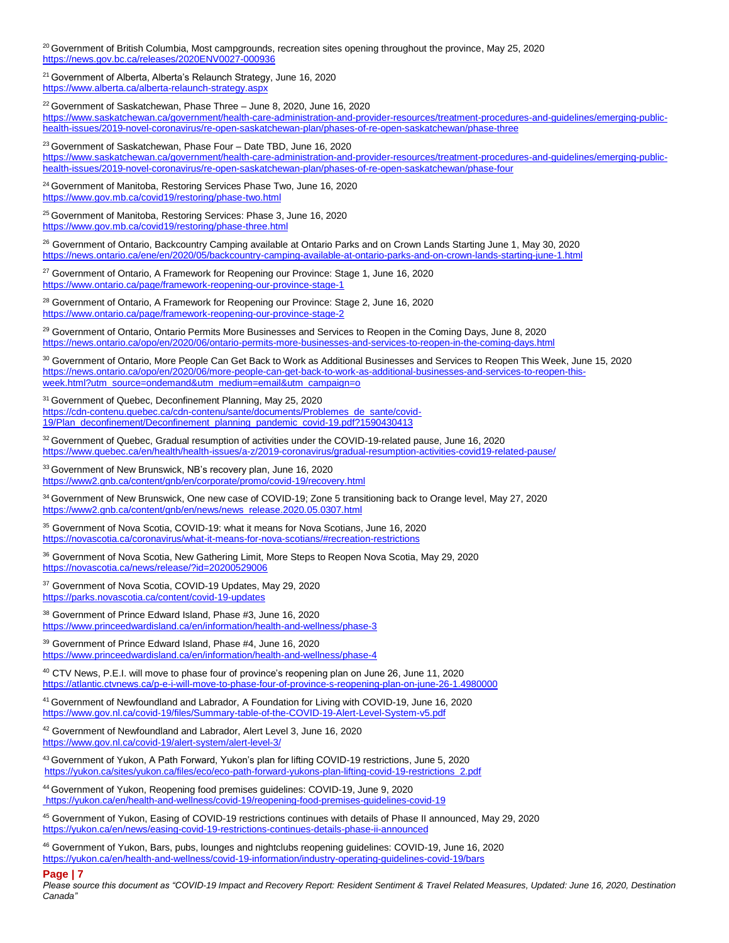<sup>20</sup> Government of British Columbia, Most campgrounds, recreation sites opening throughout the province, May 25, 2020 <https://news.gov.bc.ca/releases/2020ENV0027-000936>

<sup>21</sup> Government of Alberta, Alberta's Relaunch Strategy, June 16, 2020 <https://www.alberta.ca/alberta-relaunch-strategy.aspx>

<sup>22</sup> Government of Saskatchewan, Phase Three – June 8, 2020, June 16, 2020 [https://www.saskatchewan.ca/government/health-care-administration-and-provider-resources/treatment-procedures-and-guidelines/emerging-public](https://www.saskatchewan.ca/government/health-care-administration-and-provider-resources/treatment-procedures-and-guidelines/emerging-public-health-issues/2019-novel-coronavirus/re-open-saskatchewan-plan/phases-of-re-open-saskatchewan/phase-three)[health-issues/2019-novel-coronavirus/re-open-saskatchewan-plan/phases-of-re-open-saskatchewan/phase-three](https://www.saskatchewan.ca/government/health-care-administration-and-provider-resources/treatment-procedures-and-guidelines/emerging-public-health-issues/2019-novel-coronavirus/re-open-saskatchewan-plan/phases-of-re-open-saskatchewan/phase-three)

<sup>23</sup> Government of Saskatchewan, Phase Four - Date TBD, June 16, 2020

[https://www.saskatchewan.ca/government/health-care-administration-and-provider-resources/treatment-procedures-and-guidelines/emerging-public](https://www.saskatchewan.ca/government/health-care-administration-and-provider-resources/treatment-procedures-and-guidelines/emerging-public-health-issues/2019-novel-coronavirus/re-open-saskatchewan-plan/phases-of-re-open-saskatchewan/phase-four)[health-issues/2019-novel-coronavirus/re-open-saskatchewan-plan/phases-of-re-open-saskatchewan/phase-four](https://www.saskatchewan.ca/government/health-care-administration-and-provider-resources/treatment-procedures-and-guidelines/emerging-public-health-issues/2019-novel-coronavirus/re-open-saskatchewan-plan/phases-of-re-open-saskatchewan/phase-four)

<sup>24</sup> Government of Manitoba, Restoring Services Phase Two, June 16, 2020 <https://www.gov.mb.ca/covid19/restoring/phase-two.html>

<sup>25</sup> Government of Manitoba, Restoring Services: Phase 3, June 16, 2020 <https://www.gov.mb.ca/covid19/restoring/phase-three.html>

<sup>26</sup> Government of Ontario, Backcountry Camping available at Ontario Parks and on Crown Lands Starting June 1, May 30, 2020 <https://news.ontario.ca/ene/en/2020/05/backcountry-camping-available-at-ontario-parks-and-on-crown-lands-starting-june-1.html>

<sup>27</sup> Government of Ontario, A Framework for Reopening our Province: Stage 1, June 16, 2020 <https://www.ontario.ca/page/framework-reopening-our-province-stage-1>

<sup>28</sup> Government of Ontario, A Framework for Reopening our Province: Stage 2, June 16, 2020 <https://www.ontario.ca/page/framework-reopening-our-province-stage-2>

<sup>29</sup> Government of Ontario, Ontario Permits More Businesses and Services to Reopen in the Coming Days, June 8, 2020 <https://news.ontario.ca/opo/en/2020/06/ontario-permits-more-businesses-and-services-to-reopen-in-the-coming-days.html>

30 Government of Ontario, More People Can Get Back to Work as Additional Businesses and Services to Reopen This Week, June 15, 2020 [https://news.ontario.ca/opo/en/2020/06/more-people-can-get-back-to-work-as-additional-businesses-and-services-to-reopen-this](https://news.ontario.ca/opo/en/2020/06/more-people-can-get-back-to-work-as-additional-businesses-and-services-to-reopen-this-week.html?utm_source=ondemand&utm_medium=email&utm_campaign=o)[week.html?utm\\_source=ondemand&utm\\_medium=email&utm\\_campaign=o](https://news.ontario.ca/opo/en/2020/06/more-people-can-get-back-to-work-as-additional-businesses-and-services-to-reopen-this-week.html?utm_source=ondemand&utm_medium=email&utm_campaign=o)

<sup>31</sup> Government of Quebec, Deconfinement Planning, May 25, 2020 [https://cdn-contenu.quebec.ca/cdn-contenu/sante/documents/Problemes\\_de\\_sante/covid-](https://cdn-contenu.quebec.ca/cdn-contenu/sante/documents/Problemes_de_sante/covid-19/Plan_deconfinement/Deconfinement_planning_pandemic_covid-19.pdf?1590430413)[19/Plan\\_deconfinement/Deconfinement\\_planning\\_pandemic\\_covid-19.pdf?1590430413](https://cdn-contenu.quebec.ca/cdn-contenu/sante/documents/Problemes_de_sante/covid-19/Plan_deconfinement/Deconfinement_planning_pandemic_covid-19.pdf?1590430413)

<sup>32</sup> Government of Quebec, Gradual resumption of activities under the COVID-19-related pause, June 16, 2020 <https://www.quebec.ca/en/health/health-issues/a-z/2019-coronavirus/gradual-resumption-activities-covid19-related-pause/>

33 Government of New Brunswick, NB's recovery plan, June 16, 2020 <https://www2.gnb.ca/content/gnb/en/corporate/promo/covid-19/recovery.html>

<sup>34</sup> Government of New Brunswick, One new case of COVID-19; Zone 5 transitioning back to Orange level, May 27, 2020 [https://www2.gnb.ca/content/gnb/en/news/news\\_release.2020.05.0307.html](https://www2.gnb.ca/content/gnb/en/news/news_release.2020.05.0307.html)

<sup>35</sup> Government of Nova Scotia, COVID-19: what it means for Nova Scotians, June 16, 2020 <https://novascotia.ca/coronavirus/what-it-means-for-nova-scotians/#recreation-restrictions>

36 Government of Nova Scotia, New Gathering Limit, More Steps to Reopen Nova Scotia, May 29, 2020 <https://novascotia.ca/news/release/?id=20200529006>

37 Government of Nova Scotia, COVID-19 Updates, May 29, 2020 <https://parks.novascotia.ca/content/covid-19-updates>

<sup>38</sup> Government of Prince Edward Island, Phase #3, June 16, 2020 <https://www.princeedwardisland.ca/en/information/health-and-wellness/phase-3>

<sup>39</sup> Government of Prince Edward Island, Phase #4, June 16, 2020 <https://www.princeedwardisland.ca/en/information/health-and-wellness/phase-4>

<sup>40</sup> CTV News, P.E.I. will move to phase four of province's reopening plan on June 26, June 11, 2020 <https://atlantic.ctvnews.ca/p-e-i-will-move-to-phase-four-of-province-s-reopening-plan-on-june-26-1.4980000>

<sup>41</sup> Government of Newfoundland and Labrador, A Foundation for Living with COVID-19, June 16, 2020 <https://www.gov.nl.ca/covid-19/files/Summary-table-of-the-COVID-19-Alert-Level-System-v5.pdf>

42 Government of Newfoundland and Labrador, Alert Level 3, June 16, 2020 <https://www.gov.nl.ca/covid-19/alert-system/alert-level-3/>

43 Government of Yukon, A Path Forward, Yukon's plan for lifting COVID-19 restrictions, June 5, 2020 [https://yukon.ca/sites/yukon.ca/files/eco/eco-path-forward-yukons-plan-lifting-covid-19-restrictions\\_2.pdf](https://yukon.ca/sites/yukon.ca/files/eco/eco-path-forward-yukons-plan-lifting-covid-19-restrictions_2.pdf)

<sup>44</sup> Government of Yukon, Reopening food premises guidelines: COVID-19, June 9, 2020 <https://yukon.ca/en/health-and-wellness/covid-19/reopening-food-premises-guidelines-covid-19>

<sup>45</sup> Government of Yukon, Easing of COVID-19 restrictions continues with details of Phase II announced, May 29, 2020 <https://yukon.ca/en/news/easing-covid-19-restrictions-continues-details-phase-ii-announced>

<sup>46</sup> Government of Yukon, Bars, pubs, lounges and nightclubs reopening guidelines: COVID-19, June 16, 2020 <https://yukon.ca/en/health-and-wellness/covid-19-information/industry-operating-guidelines-covid-19/bars>

#### **Page | 7**